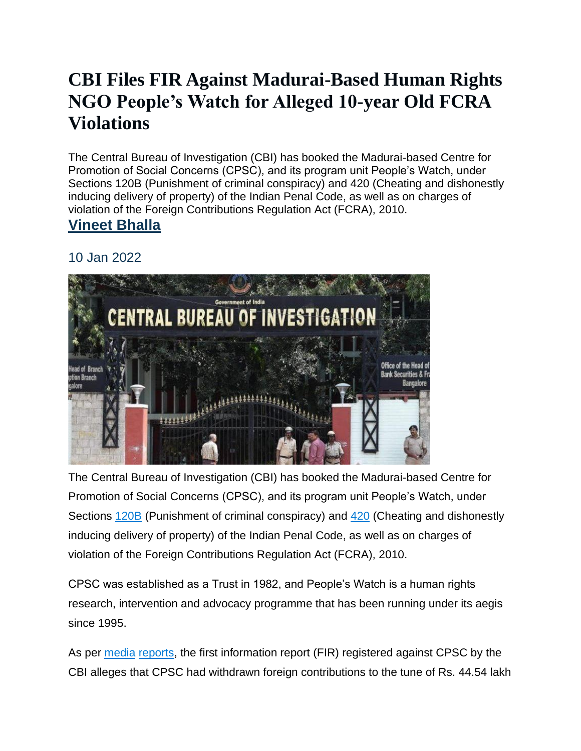## **[CBI Files FIR Against Madurai-Based Human Rights](https://www.newsclick.in/CBI-files-FIR-madurai-based-human-rights-NGO-people-watch-alleged-10-year-old-FCRA-violations)  [NGO People's Watch for Alleged 10-year Old FCRA](https://www.newsclick.in/CBI-files-FIR-madurai-based-human-rights-NGO-people-watch-alleged-10-year-old-FCRA-violations)  [Violations](https://www.newsclick.in/CBI-files-FIR-madurai-based-human-rights-NGO-people-watch-alleged-10-year-old-FCRA-violations)**

The Central Bureau of Investigation (CBI) has booked the Madurai-based Centre for Promotion of Social Concerns (CPSC), and its program unit People's Watch, under Sections 120B (Punishment of criminal conspiracy) and 420 (Cheating and dishonestly inducing delivery of property) of the Indian Penal Code, as well as on charges of violation of the Foreign Contributions Regulation Act (FCRA), 2010.

## **[Vineet Bhalla](https://www.newsclick.in/author/Vineet%20Bhalla)**

## 10 Jan 2022



The Central Bureau of Investigation (CBI) has booked the Madurai-based Centre for Promotion of Social Concerns (CPSC), and its program unit People's Watch, under Sections [120B](https://www.indiacode.nic.in/show-data?actid=AC_CEN_5_23_00037_186045_1523266765688§ionId=45857§ionno=120B&orderno=127#:~:text=India%20Code%3A%20Section%20Details&text=%5B120B.,Punishment%20of%20criminal%20conspiracy.&text=(2)%20Whoever%20is%20a%20party,with%20fine%20or%20with%20both.%5D) (Punishment of criminal conspiracy) and [420](https://www.indiacode.nic.in/show-data?actid=AC_CEN_5_23_00037_186045_1523266765688§ionId=46203§ionno=420&orderno=477) (Cheating and dishonestly inducing delivery of property) of the Indian Penal Code, as well as on charges of violation of the Foreign Contributions Regulation Act (FCRA), 2010.

CPSC was established as a Trust in 1982, and People's Watch is a human rights research, intervention and advocacy programme that has been running under its aegis since 1995.

As per [media](https://www.thehindu.com/news/national/tamil-nadu/cbi-books-madurai-based-ngo-for-fcra-violations/article38187001.ece) [reports,](https://www.dtnext.in/News/City/2022/01/09025253/1337869/CBI-books-CPSC-Peoples-Watch-over-foreign-funds.vpf) the first information report (FIR) registered against CPSC by the CBI alleges that CPSC had withdrawn foreign contributions to the tune of Rs. 44.54 lakh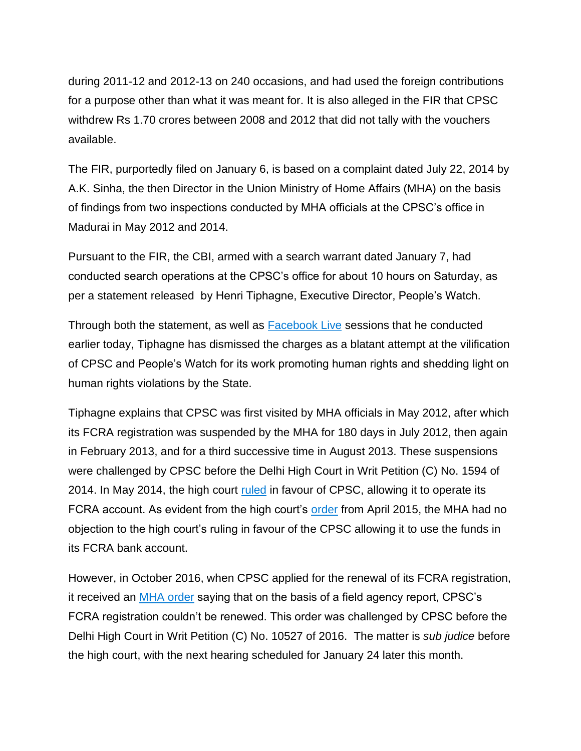during 2011-12 and 2012-13 on 240 occasions, and had used the foreign contributions for a purpose other than what it was meant for. It is also alleged in the FIR that CPSC withdrew Rs 1.70 crores between 2008 and 2012 that did not tally with the vouchers available.

The FIR, purportedly filed on January 6, is based on a complaint dated July 22, 2014 by A.K. Sinha, the then Director in the Union Ministry of Home Affairs (MHA) on the basis of findings from two inspections conducted by MHA officials at the CPSC's office in Madurai in May 2012 and 2014.

Pursuant to the FIR, the CBI, armed with a search warrant dated January 7, had conducted search operations at the CPSC's office for about 10 hours on Saturday, as per a statement released by Henri Tiphagne, Executive Director, People's Watch.

Through both the statement, as well as [Facebook Live](https://www.facebook.com/henri.tiphagne/videos/911485666232587) sessions that he conducted earlier today, Tiphagne has dismissed the charges as a blatant attempt at the vilification of CPSC and People's Watch for its work promoting human rights and shedding light on human rights violations by the State.

Tiphagne explains that CPSC was first visited by MHA officials in May 2012, after which its FCRA registration was suspended by the MHA for 180 days in July 2012, then again in February 2013, and for a third successive time in August 2013. These suspensions were challenged by CPSC before the Delhi High Court in Writ Petition (C) No. 1594 of 2014. In May 2014, the high court [ruled](https://onedrive.live.com/?authkey=%21AAIuZ2xg4TvTh0I&cid=E1D0838E49CAB56A&id=E1D0838E49CAB56A%21409933&parId=E1D0838E49CAB56A%21409756&o=OneUp) in favour of CPSC, allowing it to operate its FCRA account. As evident from the high court's [order](https://onedrive.live.com/?authkey=%21AN4TthtQYCXETso&cid=E1D0838E49CAB56A&id=E1D0838E49CAB56A%21409975&parId=E1D0838E49CAB56A%21409756&o=OneUp) from April 2015, the MHA had no objection to the high court's ruling in favour of the CPSC allowing it to use the funds in its FCRA bank account.

However, in October 2016, when CPSC applied for the renewal of its FCRA registration, it received an [MHA order](https://onedrive.live.com/?authkey=%21AHimfI7xBYSr2ZQ&cid=E1D0838E49CAB56A&id=E1D0838E49CAB56A%21415292&parId=E1D0838E49CAB56A%21415225&o=OneUp) saying that on the basis of a field agency report, CPSC's FCRA registration couldn't be renewed. This order was challenged by CPSC before the Delhi High Court in Writ Petition (C) No. 10527 of 2016. The matter is *sub judice* before the high court, with the next hearing scheduled for January 24 later this month.